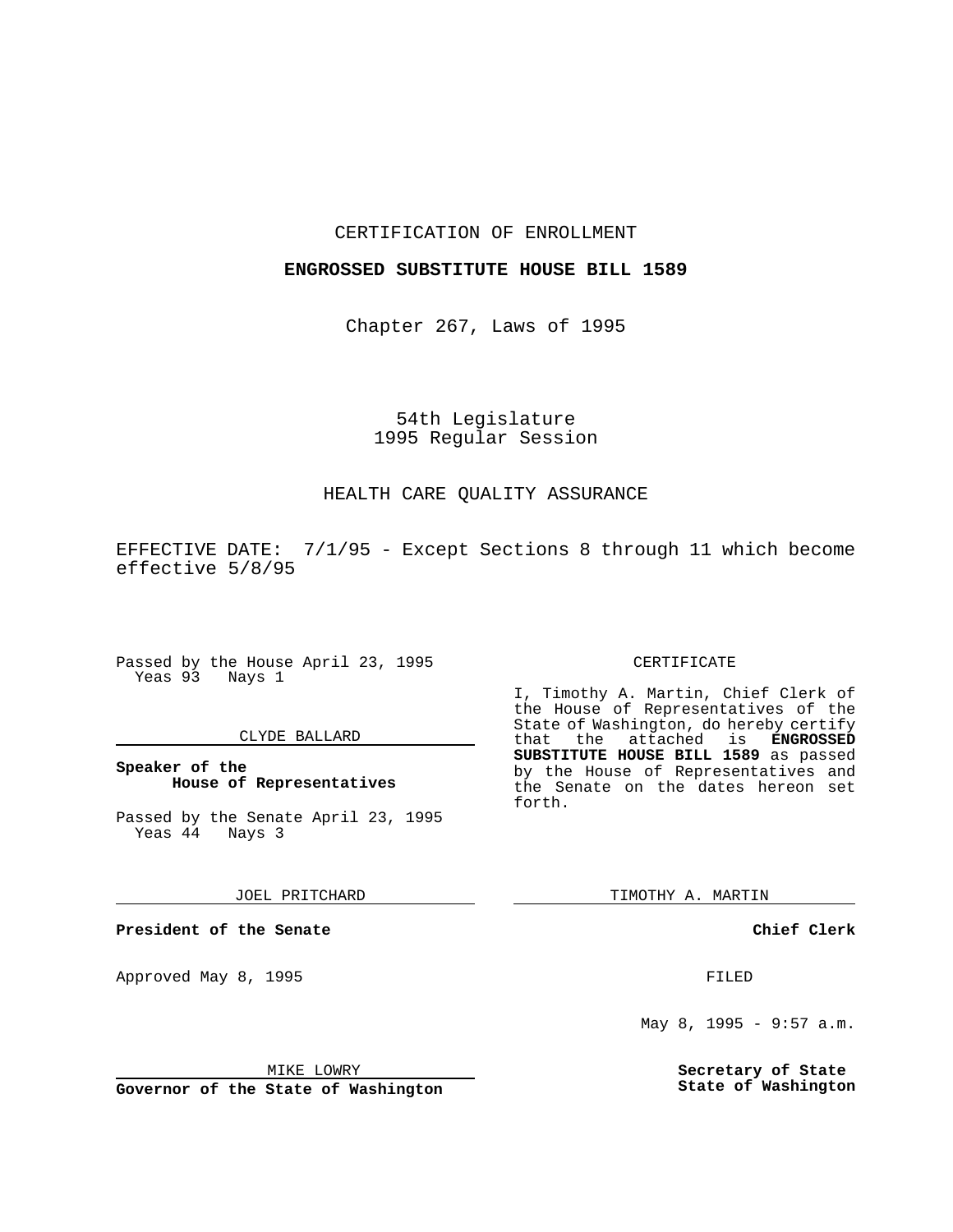### CERTIFICATION OF ENROLLMENT

### **ENGROSSED SUBSTITUTE HOUSE BILL 1589**

Chapter 267, Laws of 1995

# 54th Legislature 1995 Regular Session

## HEALTH CARE QUALITY ASSURANCE

EFFECTIVE DATE: 7/1/95 - Except Sections 8 through 11 which become effective 5/8/95

Passed by the House April 23, 1995 Yeas 93 Nays 1

#### CLYDE BALLARD

**Speaker of the House of Representatives**

Passed by the Senate April 23, 1995<br>Yeas 44 Nays 3  $Yeas$   $44$ 

JOEL PRITCHARD

**President of the Senate**

Approved May 8, 1995 FILED

MIKE LOWRY

**Governor of the State of Washington**

#### CERTIFICATE

I, Timothy A. Martin, Chief Clerk of the House of Representatives of the State of Washington, do hereby certify<br>that the attached is **ENGROSSED** the attached is **ENGROSSED SUBSTITUTE HOUSE BILL 1589** as passed by the House of Representatives and the Senate on the dates hereon set forth.

TIMOTHY A. MARTIN

**Chief Clerk**

May 8, 1995 - 9:57 a.m.

**Secretary of State State of Washington**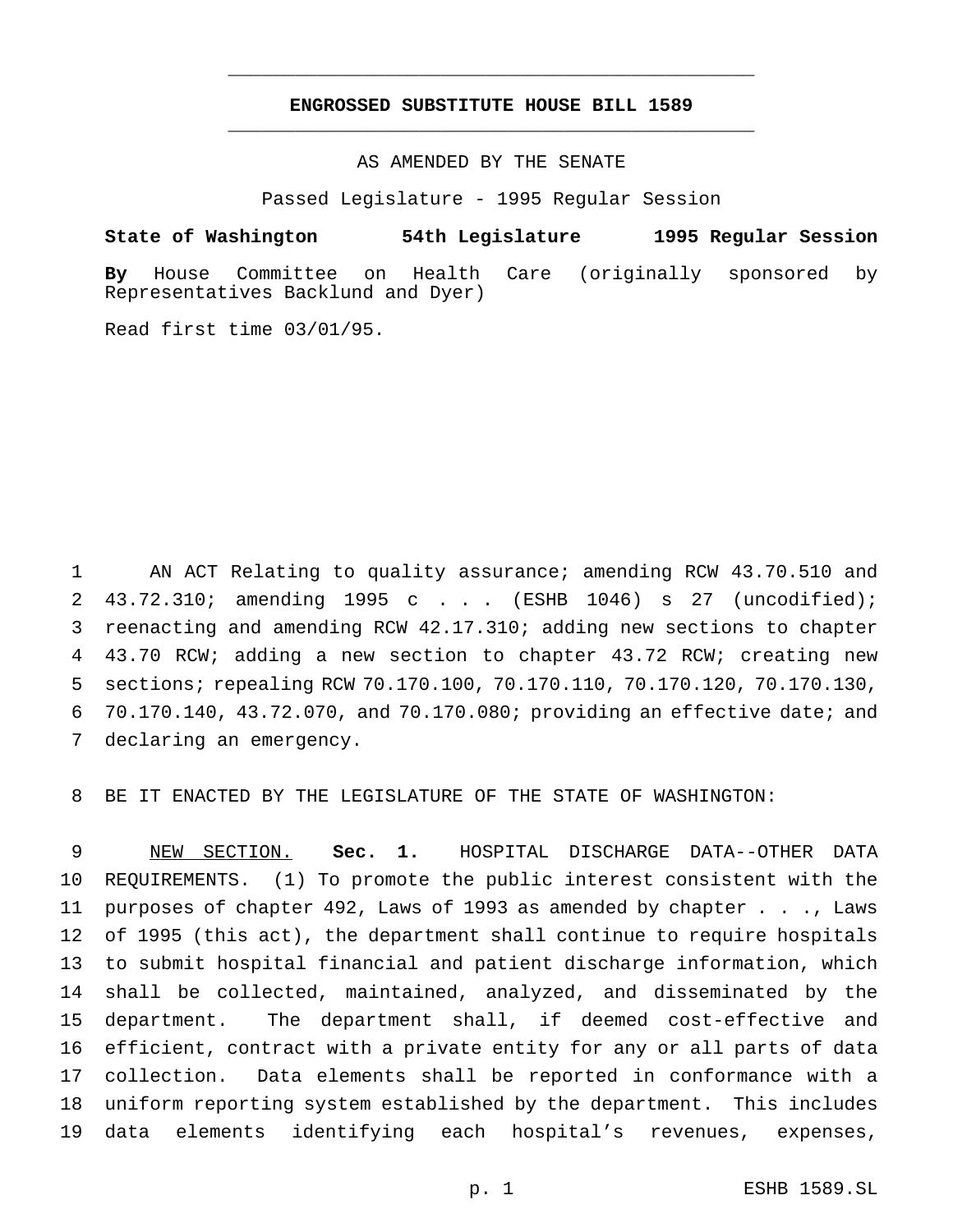## **ENGROSSED SUBSTITUTE HOUSE BILL 1589** \_\_\_\_\_\_\_\_\_\_\_\_\_\_\_\_\_\_\_\_\_\_\_\_\_\_\_\_\_\_\_\_\_\_\_\_\_\_\_\_\_\_\_\_\_\_\_

\_\_\_\_\_\_\_\_\_\_\_\_\_\_\_\_\_\_\_\_\_\_\_\_\_\_\_\_\_\_\_\_\_\_\_\_\_\_\_\_\_\_\_\_\_\_\_

AS AMENDED BY THE SENATE

Passed Legislature - 1995 Regular Session

**State of Washington 54th Legislature 1995 Regular Session**

**By** House Committee on Health Care (originally sponsored by Representatives Backlund and Dyer)

Read first time 03/01/95.

 AN ACT Relating to quality assurance; amending RCW 43.70.510 and 2 43.72.310; amending 1995 c . . . (ESHB 1046) s 27 (uncodified); reenacting and amending RCW 42.17.310; adding new sections to chapter 43.70 RCW; adding a new section to chapter 43.72 RCW; creating new sections; repealing RCW 70.170.100, 70.170.110, 70.170.120, 70.170.130, 70.170.140, 43.72.070, and 70.170.080; providing an effective date; and declaring an emergency.

BE IT ENACTED BY THE LEGISLATURE OF THE STATE OF WASHINGTON:

 NEW SECTION. **Sec. 1.** HOSPITAL DISCHARGE DATA--OTHER DATA REQUIREMENTS. (1) To promote the public interest consistent with the purposes of chapter 492, Laws of 1993 as amended by chapter . . ., Laws of 1995 (this act), the department shall continue to require hospitals to submit hospital financial and patient discharge information, which shall be collected, maintained, analyzed, and disseminated by the department. The department shall, if deemed cost-effective and efficient, contract with a private entity for any or all parts of data collection. Data elements shall be reported in conformance with a uniform reporting system established by the department. This includes data elements identifying each hospital's revenues, expenses,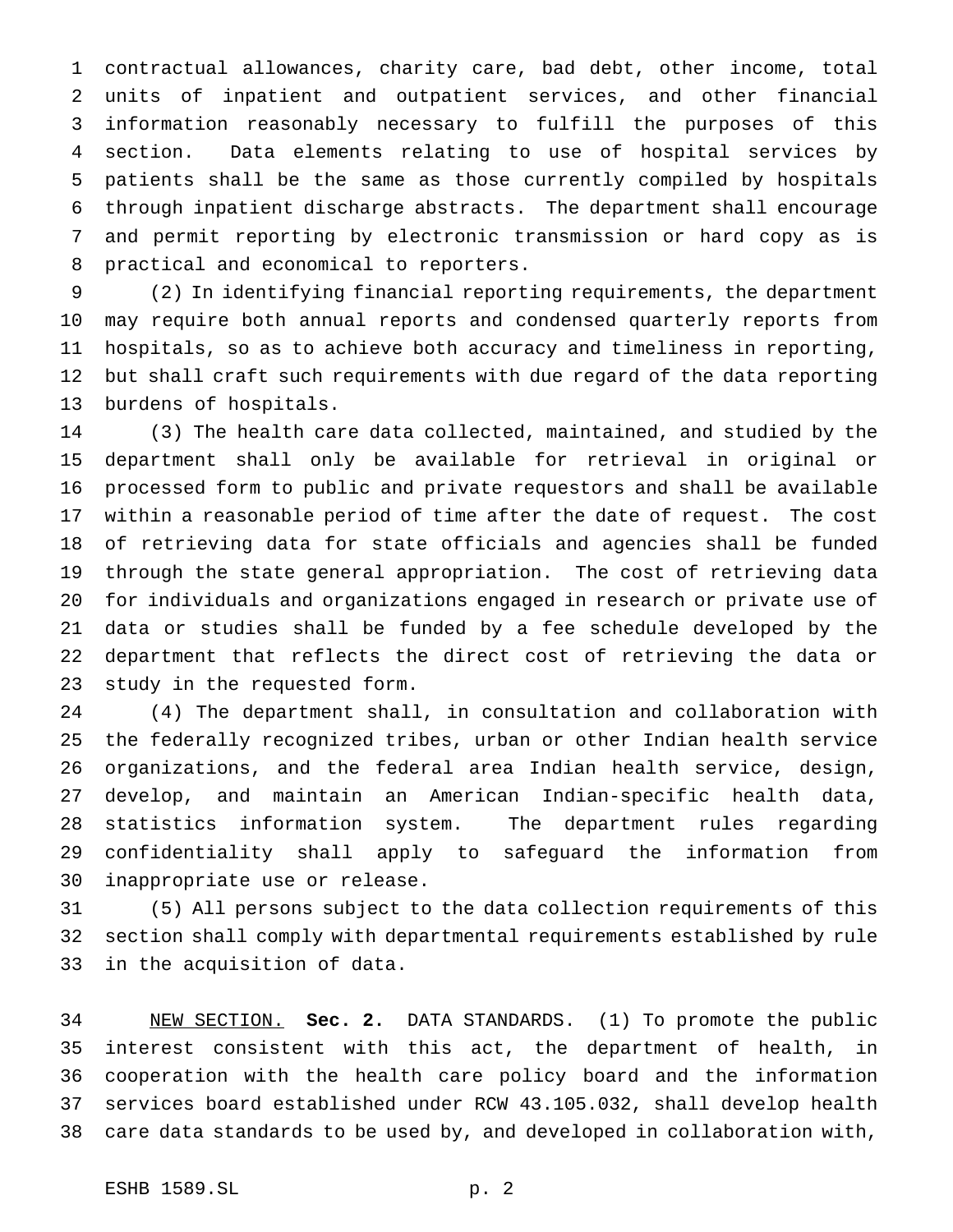contractual allowances, charity care, bad debt, other income, total units of inpatient and outpatient services, and other financial information reasonably necessary to fulfill the purposes of this section. Data elements relating to use of hospital services by patients shall be the same as those currently compiled by hospitals through inpatient discharge abstracts. The department shall encourage and permit reporting by electronic transmission or hard copy as is practical and economical to reporters.

 (2) In identifying financial reporting requirements, the department may require both annual reports and condensed quarterly reports from hospitals, so as to achieve both accuracy and timeliness in reporting, but shall craft such requirements with due regard of the data reporting burdens of hospitals.

 (3) The health care data collected, maintained, and studied by the department shall only be available for retrieval in original or processed form to public and private requestors and shall be available within a reasonable period of time after the date of request. The cost of retrieving data for state officials and agencies shall be funded through the state general appropriation. The cost of retrieving data for individuals and organizations engaged in research or private use of data or studies shall be funded by a fee schedule developed by the department that reflects the direct cost of retrieving the data or study in the requested form.

 (4) The department shall, in consultation and collaboration with the federally recognized tribes, urban or other Indian health service organizations, and the federal area Indian health service, design, develop, and maintain an American Indian-specific health data, statistics information system. The department rules regarding confidentiality shall apply to safeguard the information from inappropriate use or release.

 (5) All persons subject to the data collection requirements of this section shall comply with departmental requirements established by rule in the acquisition of data.

 NEW SECTION. **Sec. 2.** DATA STANDARDS. (1) To promote the public interest consistent with this act, the department of health, in cooperation with the health care policy board and the information services board established under RCW 43.105.032, shall develop health care data standards to be used by, and developed in collaboration with,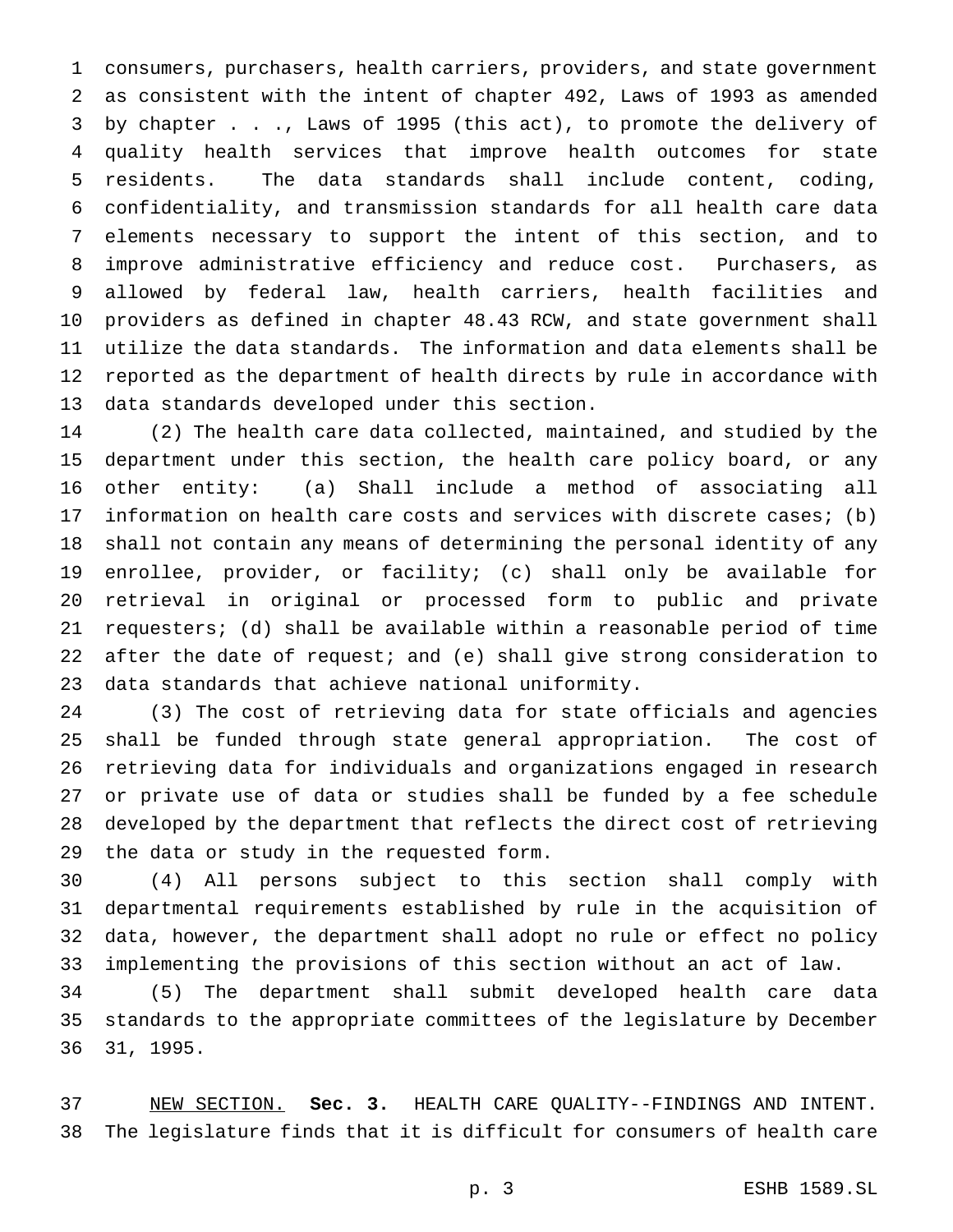consumers, purchasers, health carriers, providers, and state government as consistent with the intent of chapter 492, Laws of 1993 as amended by chapter . . ., Laws of 1995 (this act), to promote the delivery of quality health services that improve health outcomes for state residents. The data standards shall include content, coding, confidentiality, and transmission standards for all health care data elements necessary to support the intent of this section, and to improve administrative efficiency and reduce cost. Purchasers, as allowed by federal law, health carriers, health facilities and providers as defined in chapter 48.43 RCW, and state government shall utilize the data standards. The information and data elements shall be reported as the department of health directs by rule in accordance with data standards developed under this section.

 (2) The health care data collected, maintained, and studied by the department under this section, the health care policy board, or any other entity: (a) Shall include a method of associating all information on health care costs and services with discrete cases; (b) shall not contain any means of determining the personal identity of any enrollee, provider, or facility; (c) shall only be available for retrieval in original or processed form to public and private requesters; (d) shall be available within a reasonable period of time after the date of request; and (e) shall give strong consideration to data standards that achieve national uniformity.

 (3) The cost of retrieving data for state officials and agencies shall be funded through state general appropriation. The cost of retrieving data for individuals and organizations engaged in research or private use of data or studies shall be funded by a fee schedule developed by the department that reflects the direct cost of retrieving the data or study in the requested form.

 (4) All persons subject to this section shall comply with departmental requirements established by rule in the acquisition of data, however, the department shall adopt no rule or effect no policy implementing the provisions of this section without an act of law.

 (5) The department shall submit developed health care data standards to the appropriate committees of the legislature by December 31, 1995.

 NEW SECTION. **Sec. 3.** HEALTH CARE QUALITY--FINDINGS AND INTENT. The legislature finds that it is difficult for consumers of health care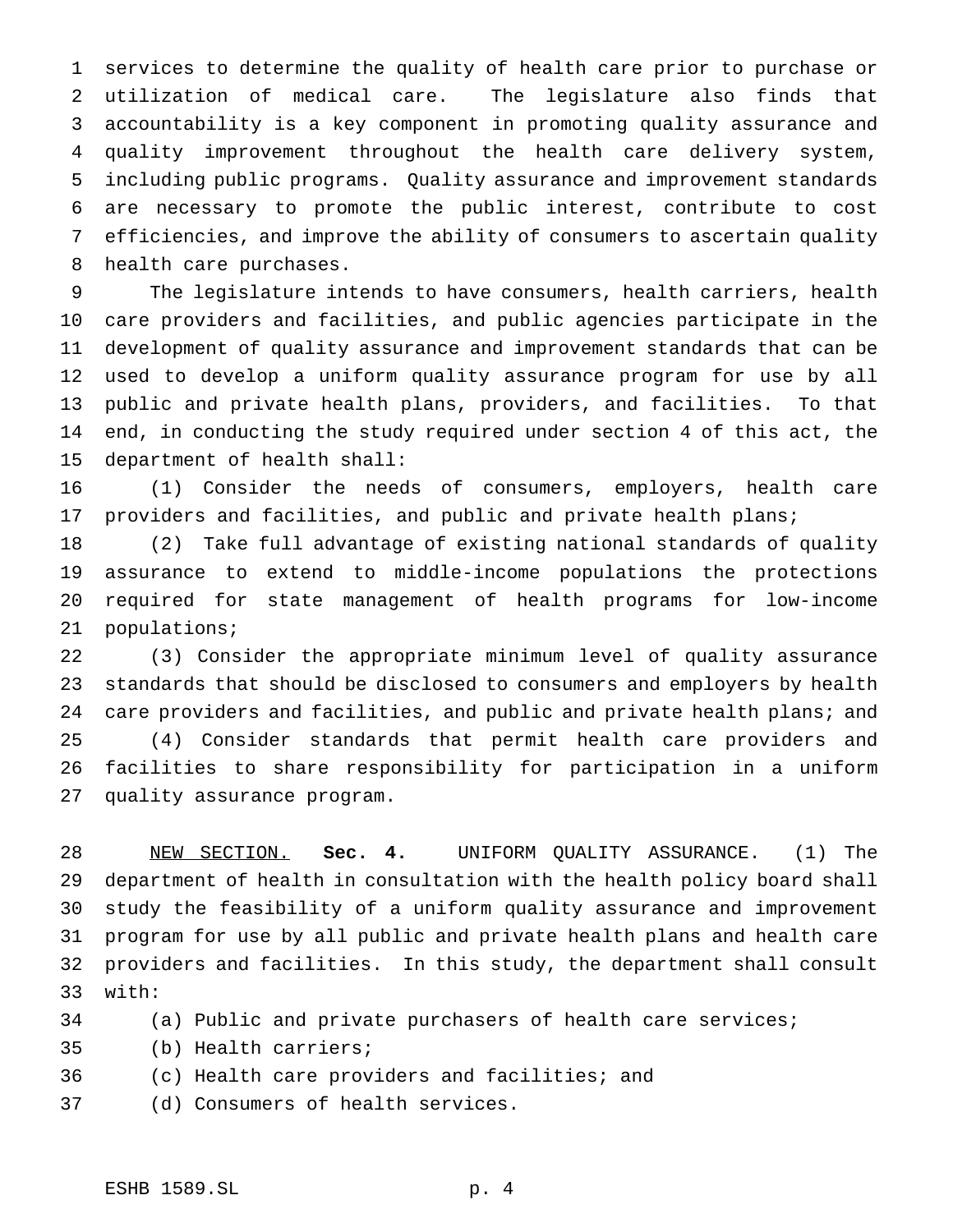services to determine the quality of health care prior to purchase or utilization of medical care. The legislature also finds that accountability is a key component in promoting quality assurance and quality improvement throughout the health care delivery system, including public programs. Quality assurance and improvement standards are necessary to promote the public interest, contribute to cost efficiencies, and improve the ability of consumers to ascertain quality health care purchases.

 The legislature intends to have consumers, health carriers, health care providers and facilities, and public agencies participate in the development of quality assurance and improvement standards that can be used to develop a uniform quality assurance program for use by all public and private health plans, providers, and facilities. To that end, in conducting the study required under section 4 of this act, the department of health shall:

 (1) Consider the needs of consumers, employers, health care providers and facilities, and public and private health plans;

 (2) Take full advantage of existing national standards of quality assurance to extend to middle-income populations the protections required for state management of health programs for low-income populations;

 (3) Consider the appropriate minimum level of quality assurance standards that should be disclosed to consumers and employers by health 24 care providers and facilities, and public and private health plans; and (4) Consider standards that permit health care providers and facilities to share responsibility for participation in a uniform quality assurance program.

 NEW SECTION. **Sec. 4.** UNIFORM QUALITY ASSURANCE. (1) The department of health in consultation with the health policy board shall study the feasibility of a uniform quality assurance and improvement program for use by all public and private health plans and health care providers and facilities. In this study, the department shall consult with:

(a) Public and private purchasers of health care services;

(b) Health carriers;

- (c) Health care providers and facilities; and
- (d) Consumers of health services.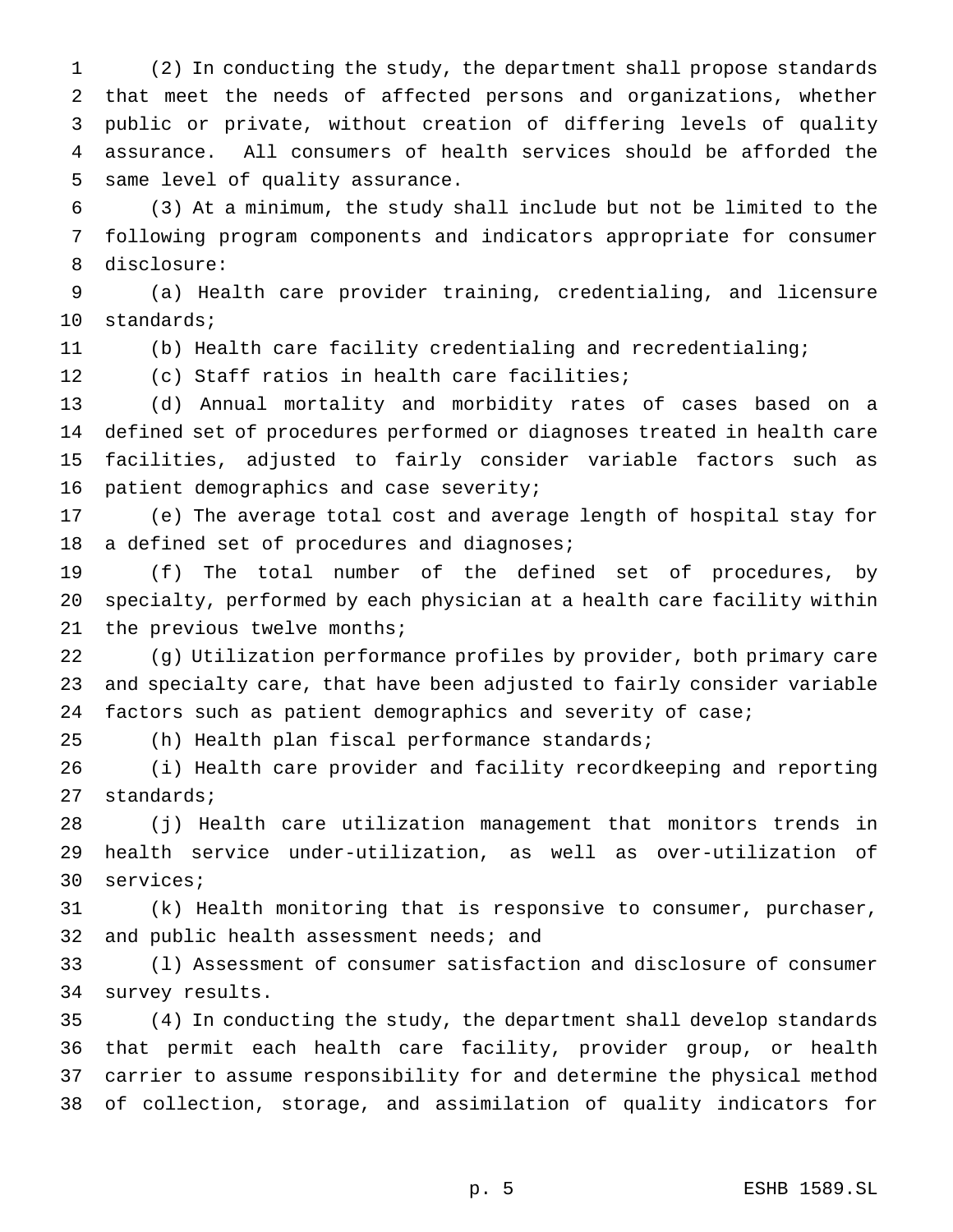(2) In conducting the study, the department shall propose standards that meet the needs of affected persons and organizations, whether public or private, without creation of differing levels of quality assurance. All consumers of health services should be afforded the same level of quality assurance.

 (3) At a minimum, the study shall include but not be limited to the following program components and indicators appropriate for consumer disclosure:

 (a) Health care provider training, credentialing, and licensure standards;

(b) Health care facility credentialing and recredentialing;

(c) Staff ratios in health care facilities;

 (d) Annual mortality and morbidity rates of cases based on a defined set of procedures performed or diagnoses treated in health care facilities, adjusted to fairly consider variable factors such as patient demographics and case severity;

 (e) The average total cost and average length of hospital stay for a defined set of procedures and diagnoses;

 (f) The total number of the defined set of procedures, by specialty, performed by each physician at a health care facility within 21 the previous twelve months;

 (g) Utilization performance profiles by provider, both primary care and specialty care, that have been adjusted to fairly consider variable 24 factors such as patient demographics and severity of case;

(h) Health plan fiscal performance standards;

 (i) Health care provider and facility recordkeeping and reporting standards;

 (j) Health care utilization management that monitors trends in health service under-utilization, as well as over-utilization of services;

 (k) Health monitoring that is responsive to consumer, purchaser, 32 and public health assessment needs; and

 (l) Assessment of consumer satisfaction and disclosure of consumer survey results.

 (4) In conducting the study, the department shall develop standards that permit each health care facility, provider group, or health carrier to assume responsibility for and determine the physical method of collection, storage, and assimilation of quality indicators for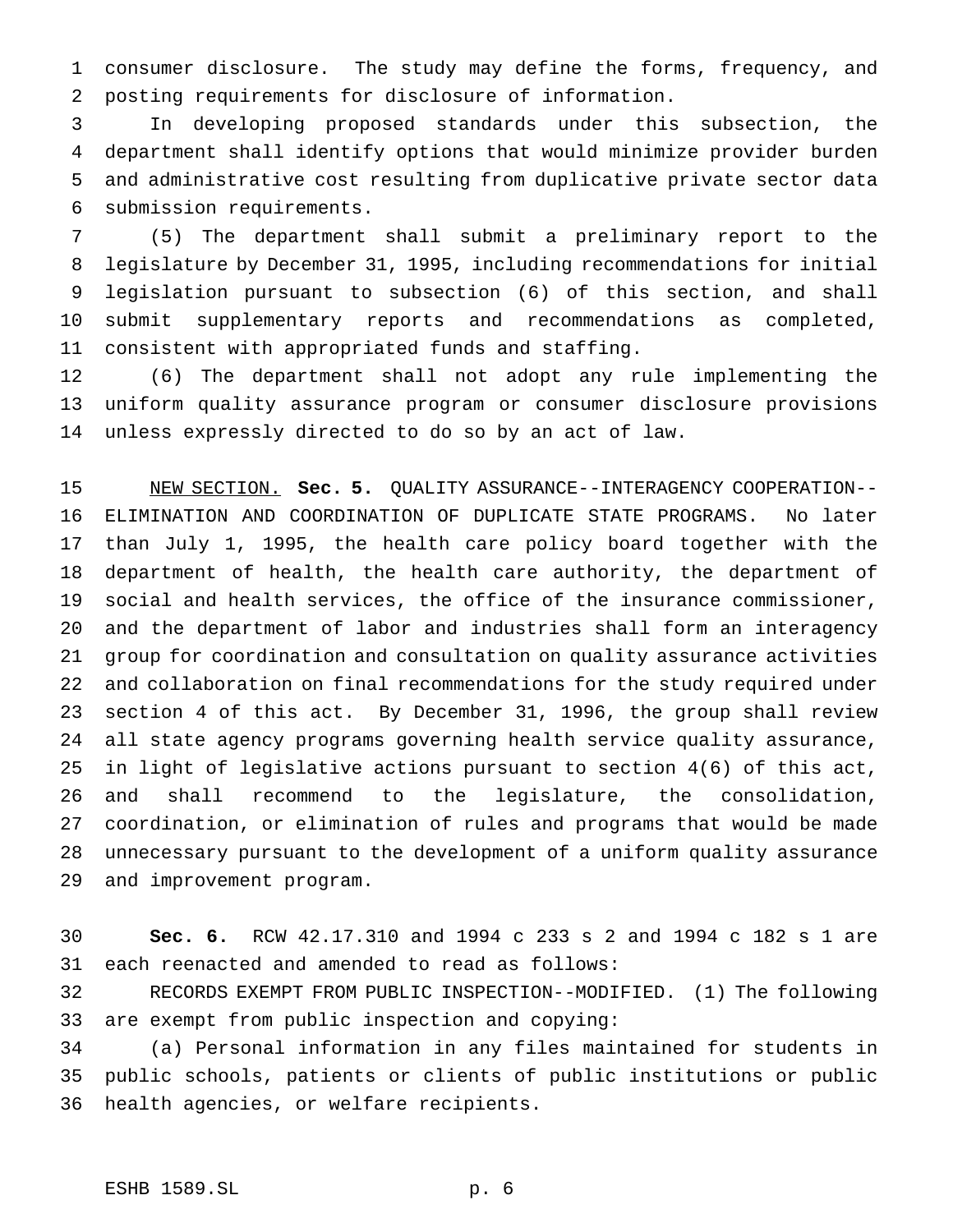consumer disclosure. The study may define the forms, frequency, and posting requirements for disclosure of information.

 In developing proposed standards under this subsection, the department shall identify options that would minimize provider burden and administrative cost resulting from duplicative private sector data submission requirements.

 (5) The department shall submit a preliminary report to the legislature by December 31, 1995, including recommendations for initial legislation pursuant to subsection (6) of this section, and shall submit supplementary reports and recommendations as completed, consistent with appropriated funds and staffing.

 (6) The department shall not adopt any rule implementing the uniform quality assurance program or consumer disclosure provisions unless expressly directed to do so by an act of law.

 NEW SECTION. **Sec. 5.** QUALITY ASSURANCE--INTERAGENCY COOPERATION-- ELIMINATION AND COORDINATION OF DUPLICATE STATE PROGRAMS. No later than July 1, 1995, the health care policy board together with the department of health, the health care authority, the department of social and health services, the office of the insurance commissioner, and the department of labor and industries shall form an interagency group for coordination and consultation on quality assurance activities and collaboration on final recommendations for the study required under section 4 of this act. By December 31, 1996, the group shall review all state agency programs governing health service quality assurance, in light of legislative actions pursuant to section 4(6) of this act, and shall recommend to the legislature, the consolidation, coordination, or elimination of rules and programs that would be made unnecessary pursuant to the development of a uniform quality assurance and improvement program.

 **Sec. 6.** RCW 42.17.310 and 1994 c 233 s 2 and 1994 c 182 s 1 are each reenacted and amended to read as follows:

 RECORDS EXEMPT FROM PUBLIC INSPECTION--MODIFIED. (1) The following are exempt from public inspection and copying:

 (a) Personal information in any files maintained for students in public schools, patients or clients of public institutions or public health agencies, or welfare recipients.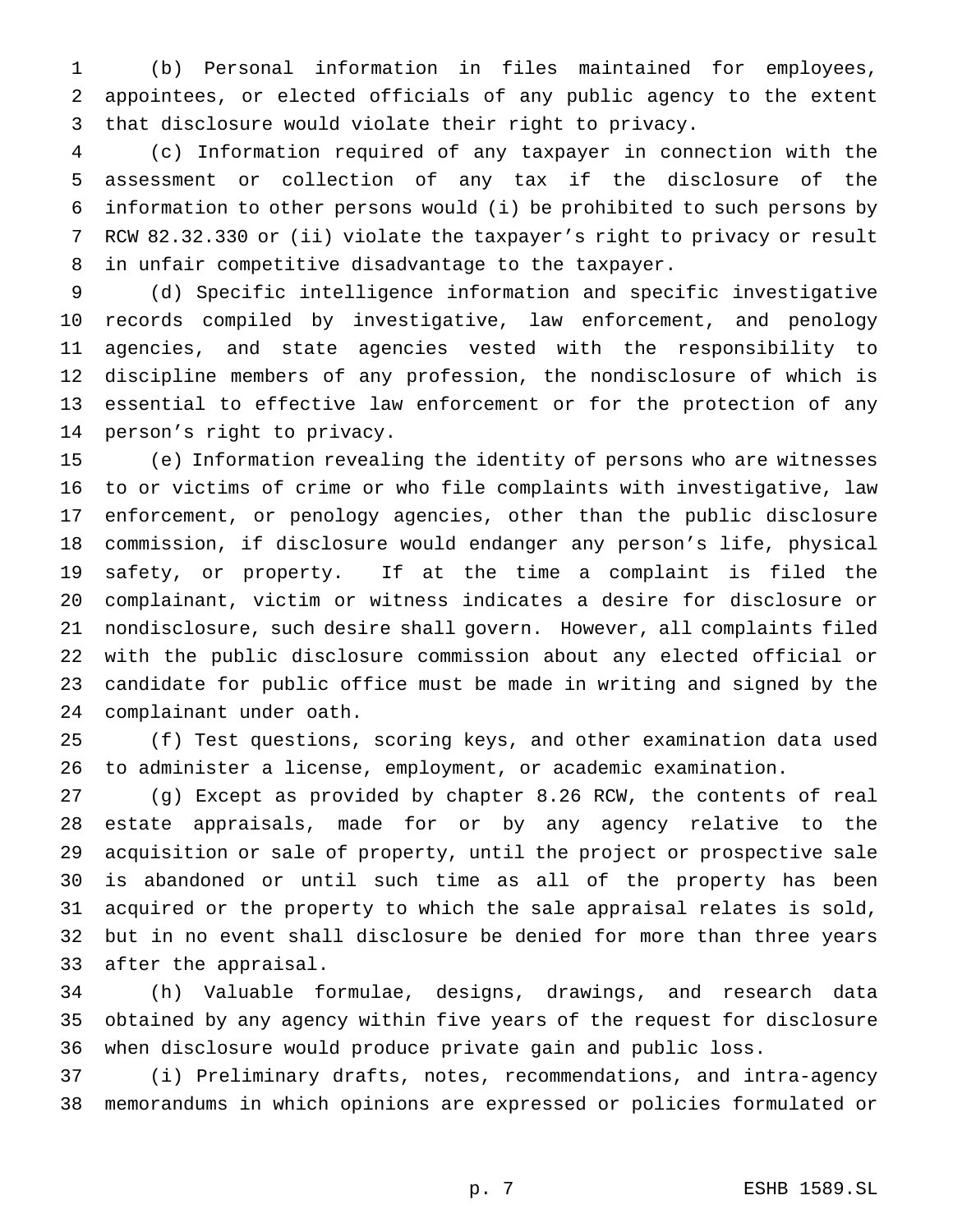(b) Personal information in files maintained for employees, appointees, or elected officials of any public agency to the extent that disclosure would violate their right to privacy.

 (c) Information required of any taxpayer in connection with the assessment or collection of any tax if the disclosure of the information to other persons would (i) be prohibited to such persons by RCW 82.32.330 or (ii) violate the taxpayer's right to privacy or result in unfair competitive disadvantage to the taxpayer.

 (d) Specific intelligence information and specific investigative records compiled by investigative, law enforcement, and penology agencies, and state agencies vested with the responsibility to discipline members of any profession, the nondisclosure of which is essential to effective law enforcement or for the protection of any person's right to privacy.

 (e) Information revealing the identity of persons who are witnesses to or victims of crime or who file complaints with investigative, law enforcement, or penology agencies, other than the public disclosure commission, if disclosure would endanger any person's life, physical safety, or property. If at the time a complaint is filed the complainant, victim or witness indicates a desire for disclosure or nondisclosure, such desire shall govern. However, all complaints filed with the public disclosure commission about any elected official or candidate for public office must be made in writing and signed by the complainant under oath.

 (f) Test questions, scoring keys, and other examination data used to administer a license, employment, or academic examination.

 (g) Except as provided by chapter 8.26 RCW, the contents of real estate appraisals, made for or by any agency relative to the acquisition or sale of property, until the project or prospective sale is abandoned or until such time as all of the property has been acquired or the property to which the sale appraisal relates is sold, but in no event shall disclosure be denied for more than three years after the appraisal.

 (h) Valuable formulae, designs, drawings, and research data obtained by any agency within five years of the request for disclosure when disclosure would produce private gain and public loss.

 (i) Preliminary drafts, notes, recommendations, and intra-agency memorandums in which opinions are expressed or policies formulated or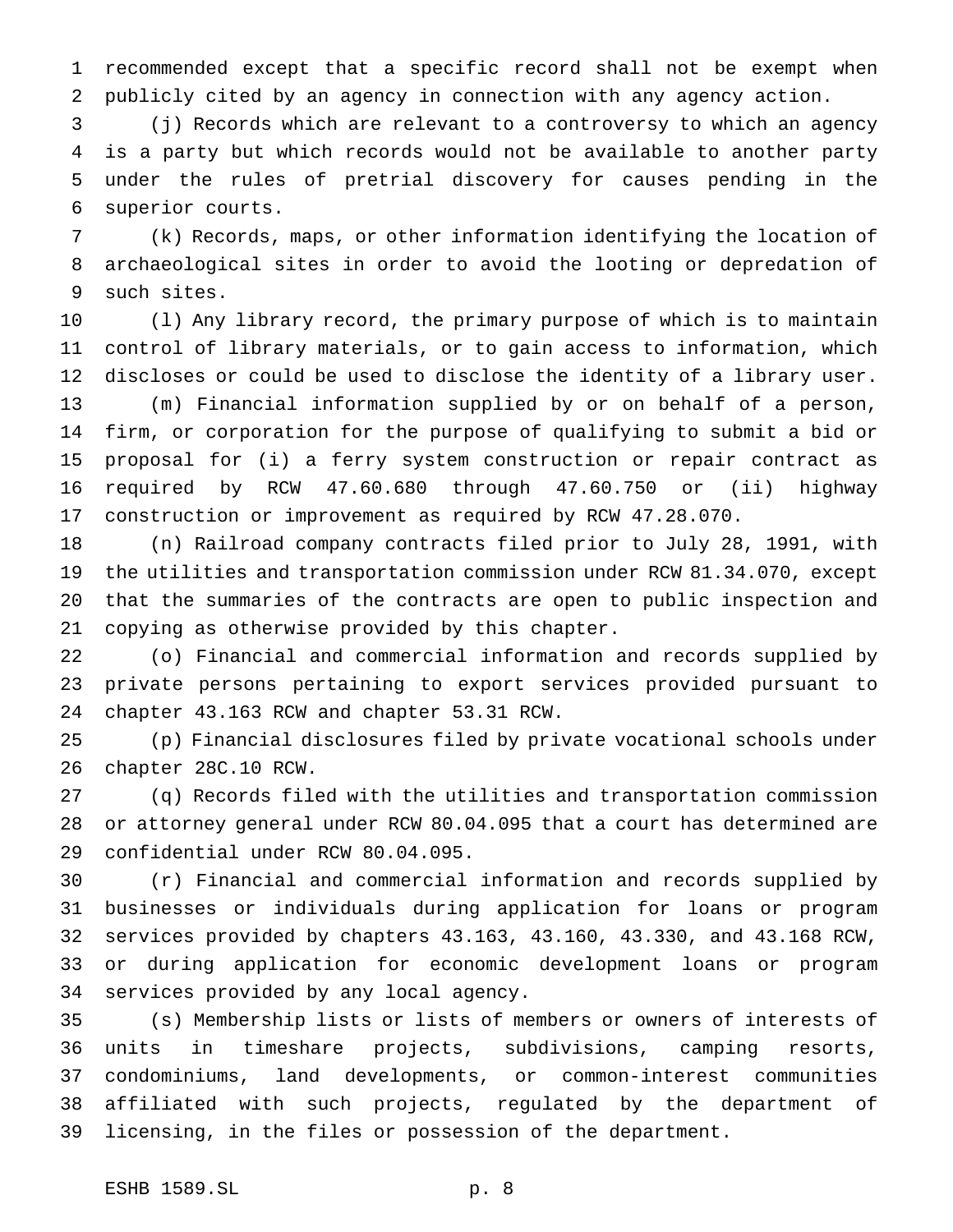recommended except that a specific record shall not be exempt when publicly cited by an agency in connection with any agency action.

 (j) Records which are relevant to a controversy to which an agency is a party but which records would not be available to another party under the rules of pretrial discovery for causes pending in the superior courts.

 (k) Records, maps, or other information identifying the location of archaeological sites in order to avoid the looting or depredation of such sites.

 (l) Any library record, the primary purpose of which is to maintain control of library materials, or to gain access to information, which discloses or could be used to disclose the identity of a library user. (m) Financial information supplied by or on behalf of a person, firm, or corporation for the purpose of qualifying to submit a bid or proposal for (i) a ferry system construction or repair contract as required by RCW 47.60.680 through 47.60.750 or (ii) highway construction or improvement as required by RCW 47.28.070.

 (n) Railroad company contracts filed prior to July 28, 1991, with the utilities and transportation commission under RCW 81.34.070, except that the summaries of the contracts are open to public inspection and copying as otherwise provided by this chapter.

 (o) Financial and commercial information and records supplied by private persons pertaining to export services provided pursuant to chapter 43.163 RCW and chapter 53.31 RCW.

 (p) Financial disclosures filed by private vocational schools under chapter 28C.10 RCW.

 (q) Records filed with the utilities and transportation commission or attorney general under RCW 80.04.095 that a court has determined are confidential under RCW 80.04.095.

 (r) Financial and commercial information and records supplied by businesses or individuals during application for loans or program services provided by chapters 43.163, 43.160, 43.330, and 43.168 RCW, or during application for economic development loans or program services provided by any local agency.

 (s) Membership lists or lists of members or owners of interests of units in timeshare projects, subdivisions, camping resorts, condominiums, land developments, or common-interest communities affiliated with such projects, regulated by the department of licensing, in the files or possession of the department.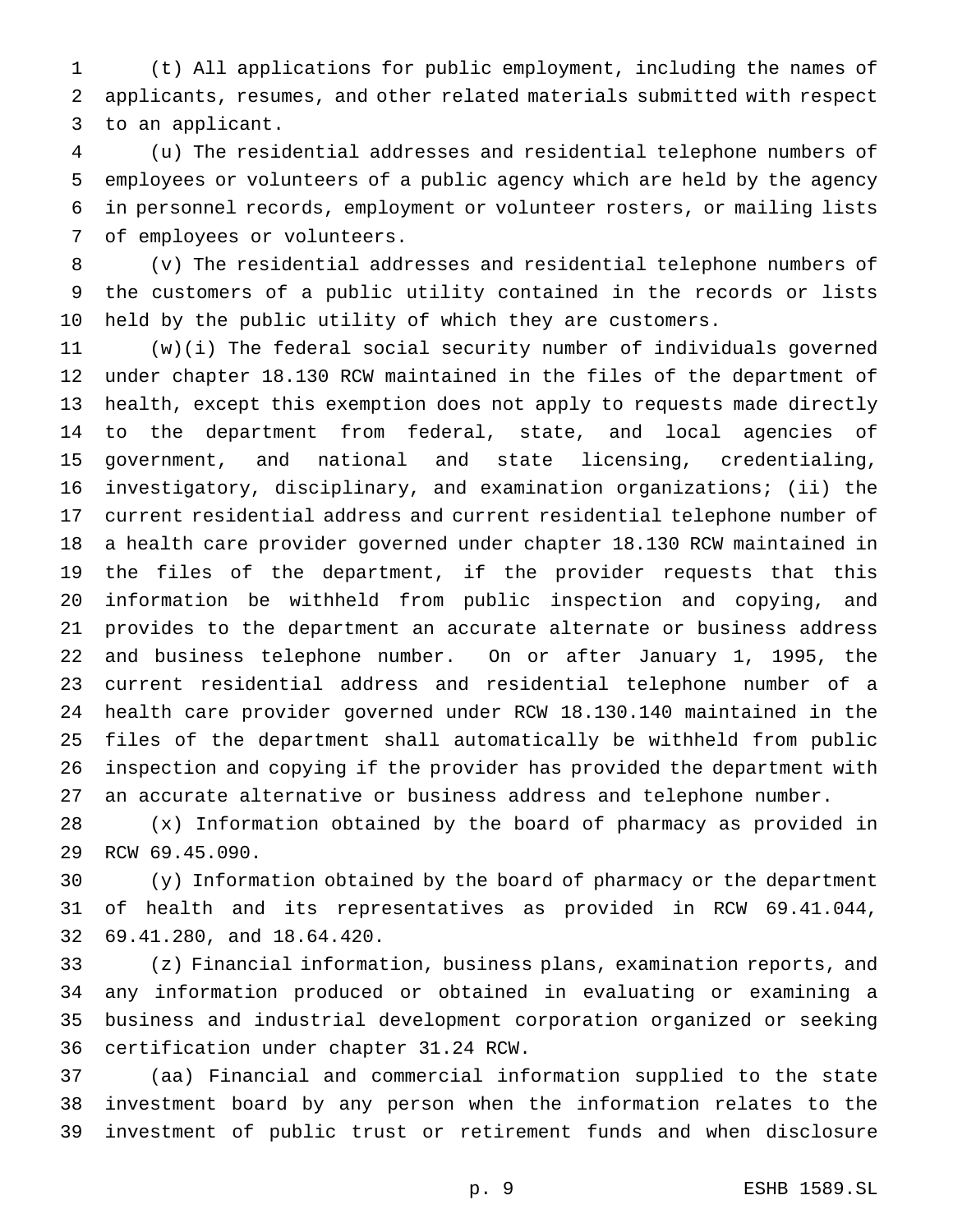(t) All applications for public employment, including the names of applicants, resumes, and other related materials submitted with respect to an applicant.

 (u) The residential addresses and residential telephone numbers of employees or volunteers of a public agency which are held by the agency in personnel records, employment or volunteer rosters, or mailing lists of employees or volunteers.

 (v) The residential addresses and residential telephone numbers of the customers of a public utility contained in the records or lists held by the public utility of which they are customers.

 (w)(i) The federal social security number of individuals governed under chapter 18.130 RCW maintained in the files of the department of health, except this exemption does not apply to requests made directly to the department from federal, state, and local agencies of government, and national and state licensing, credentialing, investigatory, disciplinary, and examination organizations; (ii) the current residential address and current residential telephone number of a health care provider governed under chapter 18.130 RCW maintained in the files of the department, if the provider requests that this information be withheld from public inspection and copying, and provides to the department an accurate alternate or business address and business telephone number. On or after January 1, 1995, the current residential address and residential telephone number of a health care provider governed under RCW 18.130.140 maintained in the files of the department shall automatically be withheld from public inspection and copying if the provider has provided the department with an accurate alternative or business address and telephone number.

 (x) Information obtained by the board of pharmacy as provided in RCW 69.45.090.

 (y) Information obtained by the board of pharmacy or the department of health and its representatives as provided in RCW 69.41.044, 69.41.280, and 18.64.420.

 (z) Financial information, business plans, examination reports, and any information produced or obtained in evaluating or examining a business and industrial development corporation organized or seeking certification under chapter 31.24 RCW.

 (aa) Financial and commercial information supplied to the state investment board by any person when the information relates to the investment of public trust or retirement funds and when disclosure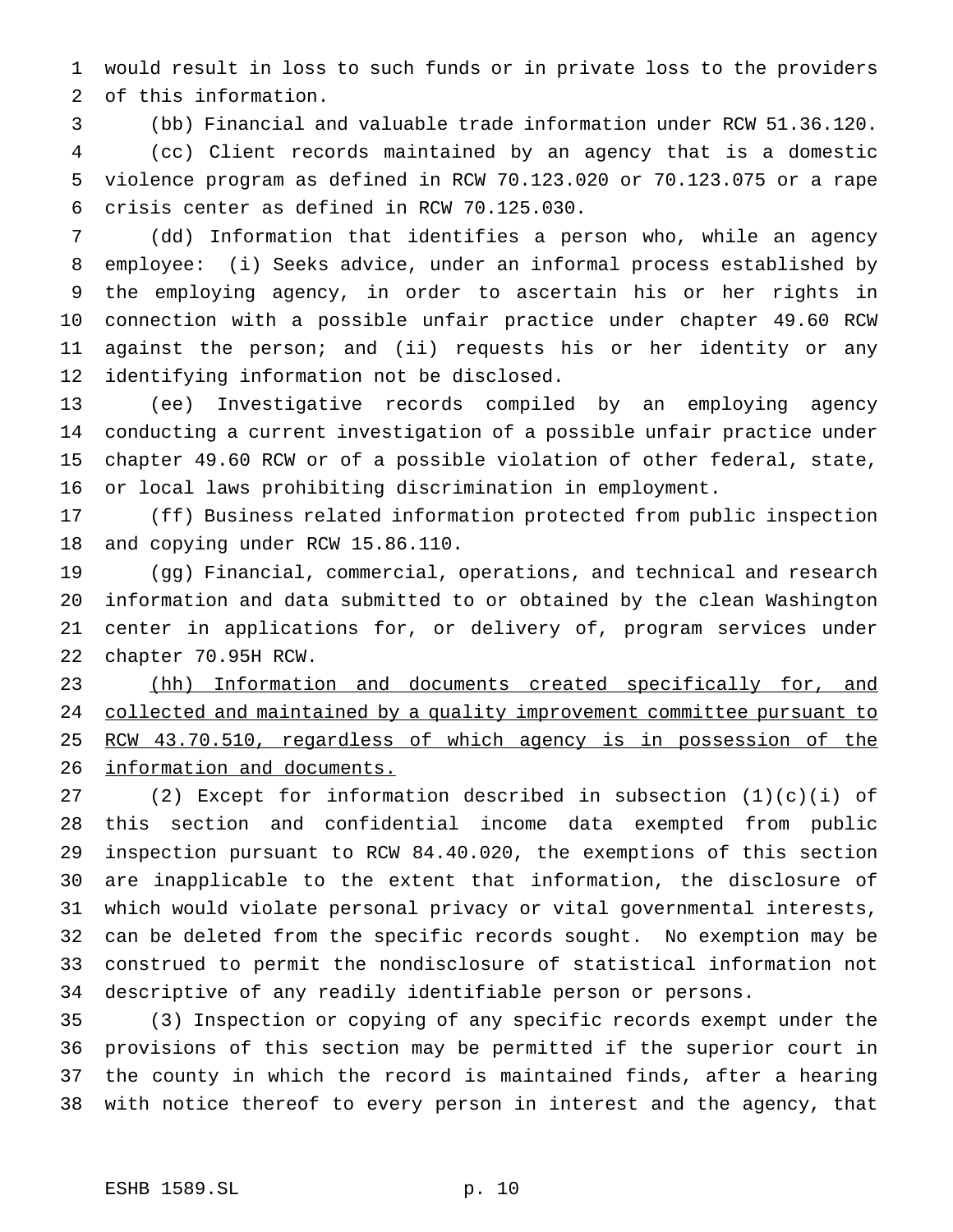would result in loss to such funds or in private loss to the providers of this information.

 (bb) Financial and valuable trade information under RCW 51.36.120. (cc) Client records maintained by an agency that is a domestic violence program as defined in RCW 70.123.020 or 70.123.075 or a rape crisis center as defined in RCW 70.125.030.

 (dd) Information that identifies a person who, while an agency employee: (i) Seeks advice, under an informal process established by the employing agency, in order to ascertain his or her rights in connection with a possible unfair practice under chapter 49.60 RCW against the person; and (ii) requests his or her identity or any identifying information not be disclosed.

 (ee) Investigative records compiled by an employing agency conducting a current investigation of a possible unfair practice under chapter 49.60 RCW or of a possible violation of other federal, state, or local laws prohibiting discrimination in employment.

 (ff) Business related information protected from public inspection and copying under RCW 15.86.110.

 (gg) Financial, commercial, operations, and technical and research information and data submitted to or obtained by the clean Washington center in applications for, or delivery of, program services under chapter 70.95H RCW.

 (hh) Information and documents created specifically for, and 24 collected and maintained by a quality improvement committee pursuant to 25 RCW 43.70.510, regardless of which agency is in possession of the information and documents.

27 (2) Except for information described in subsection  $(1)(c)(i)$  of this section and confidential income data exempted from public inspection pursuant to RCW 84.40.020, the exemptions of this section are inapplicable to the extent that information, the disclosure of which would violate personal privacy or vital governmental interests, can be deleted from the specific records sought. No exemption may be construed to permit the nondisclosure of statistical information not descriptive of any readily identifiable person or persons.

 (3) Inspection or copying of any specific records exempt under the provisions of this section may be permitted if the superior court in the county in which the record is maintained finds, after a hearing with notice thereof to every person in interest and the agency, that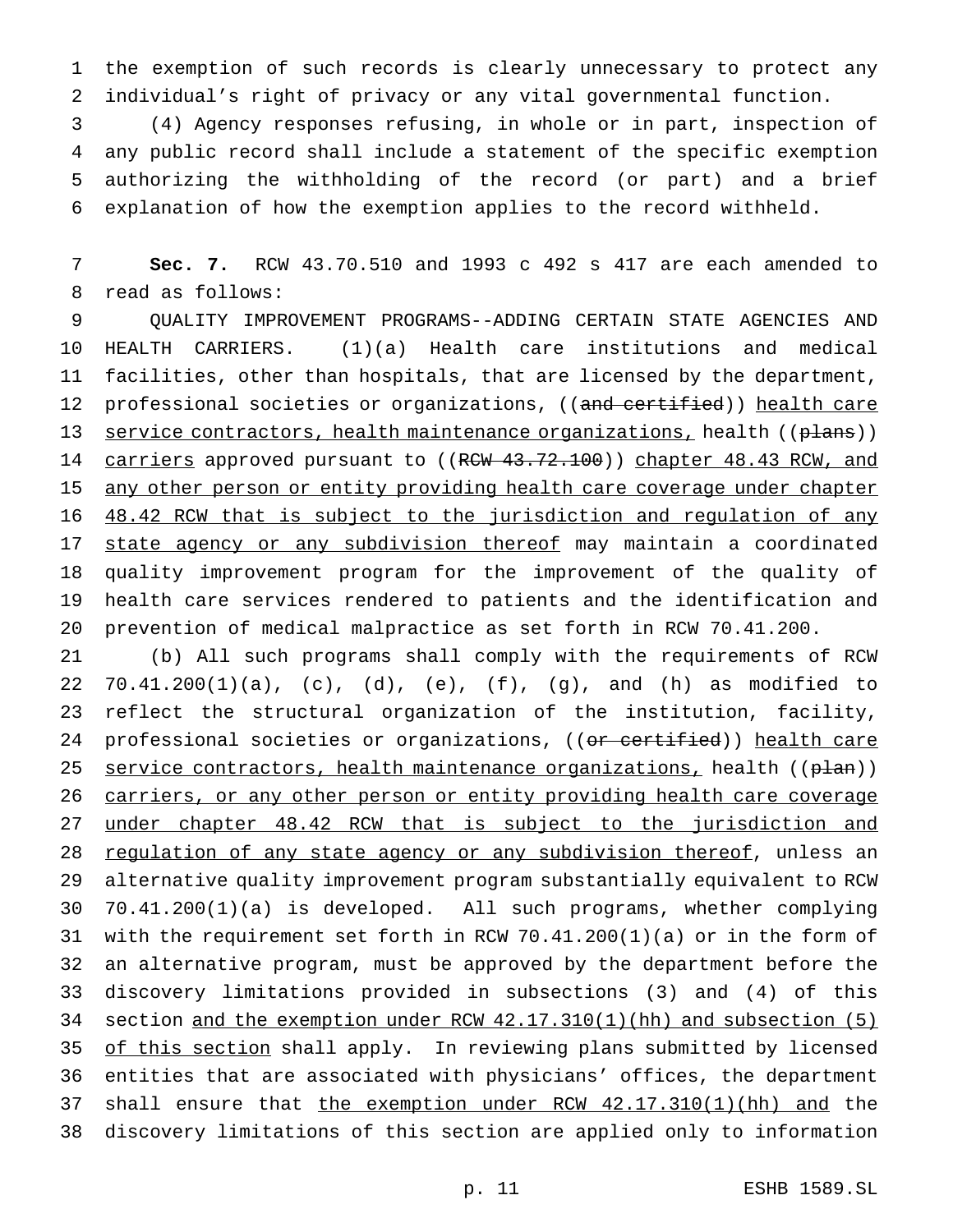the exemption of such records is clearly unnecessary to protect any individual's right of privacy or any vital governmental function.

 (4) Agency responses refusing, in whole or in part, inspection of any public record shall include a statement of the specific exemption authorizing the withholding of the record (or part) and a brief explanation of how the exemption applies to the record withheld.

 **Sec. 7.** RCW 43.70.510 and 1993 c 492 s 417 are each amended to read as follows:

 QUALITY IMPROVEMENT PROGRAMS--ADDING CERTAIN STATE AGENCIES AND HEALTH CARRIERS. (1)(a) Health care institutions and medical facilities, other than hospitals, that are licensed by the department, 12 professional societies or organizations, ((and certified)) health care 13 service contractors, health maintenance organizations, health ((plans)) 14 carriers approved pursuant to ((RCW 43.72.100)) chapter 48.43 RCW, and any other person or entity providing health care coverage under chapter 16 48.42 RCW that is subject to the jurisdiction and regulation of any 17 state agency or any subdivision thereof may maintain a coordinated quality improvement program for the improvement of the quality of health care services rendered to patients and the identification and prevention of medical malpractice as set forth in RCW 70.41.200.

 (b) All such programs shall comply with the requirements of RCW 70.41.200(1)(a), (c), (d), (e), (f), (g), and (h) as modified to reflect the structural organization of the institution, facility, 24 professional societies or organizations, ((or certified)) health care 25 service contractors, health maintenance organizations, health ((plan)) 26 carriers, or any other person or entity providing health care coverage under chapter 48.42 RCW that is subject to the jurisdiction and 28 regulation of any state agency or any subdivision thereof, unless an alternative quality improvement program substantially equivalent to RCW 70.41.200(1)(a) is developed. All such programs, whether complying with the requirement set forth in RCW 70.41.200(1)(a) or in the form of an alternative program, must be approved by the department before the discovery limitations provided in subsections (3) and (4) of this section and the exemption under RCW 42.17.310(1)(hh) and subsection (5) 35 of this section shall apply. In reviewing plans submitted by licensed entities that are associated with physicians' offices, the department 37 shall ensure that the exemption under RCW 42.17.310(1)(hh) and the discovery limitations of this section are applied only to information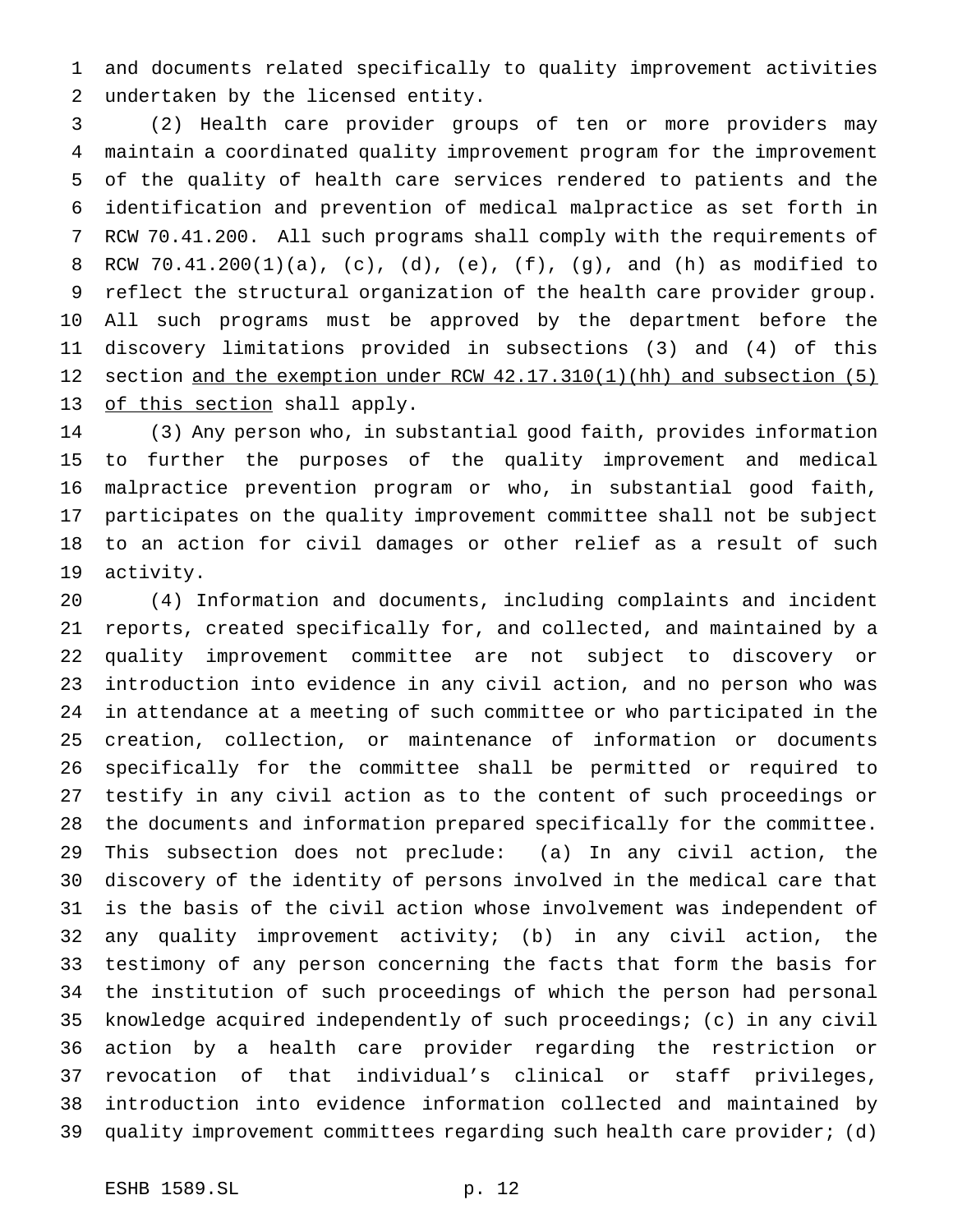and documents related specifically to quality improvement activities undertaken by the licensed entity.

 (2) Health care provider groups of ten or more providers may maintain a coordinated quality improvement program for the improvement of the quality of health care services rendered to patients and the identification and prevention of medical malpractice as set forth in RCW 70.41.200. All such programs shall comply with the requirements of RCW 70.41.200(1)(a), (c), (d), (e), (f), (g), and (h) as modified to reflect the structural organization of the health care provider group. All such programs must be approved by the department before the discovery limitations provided in subsections (3) and (4) of this section and the exemption under RCW 42.17.310(1)(hh) and subsection (5) 13 of this section shall apply.

 (3) Any person who, in substantial good faith, provides information to further the purposes of the quality improvement and medical malpractice prevention program or who, in substantial good faith, participates on the quality improvement committee shall not be subject to an action for civil damages or other relief as a result of such activity.

 (4) Information and documents, including complaints and incident reports, created specifically for, and collected, and maintained by a quality improvement committee are not subject to discovery or introduction into evidence in any civil action, and no person who was in attendance at a meeting of such committee or who participated in the creation, collection, or maintenance of information or documents specifically for the committee shall be permitted or required to testify in any civil action as to the content of such proceedings or the documents and information prepared specifically for the committee. This subsection does not preclude: (a) In any civil action, the discovery of the identity of persons involved in the medical care that is the basis of the civil action whose involvement was independent of any quality improvement activity; (b) in any civil action, the testimony of any person concerning the facts that form the basis for the institution of such proceedings of which the person had personal knowledge acquired independently of such proceedings; (c) in any civil action by a health care provider regarding the restriction or revocation of that individual's clinical or staff privileges, introduction into evidence information collected and maintained by quality improvement committees regarding such health care provider; (d)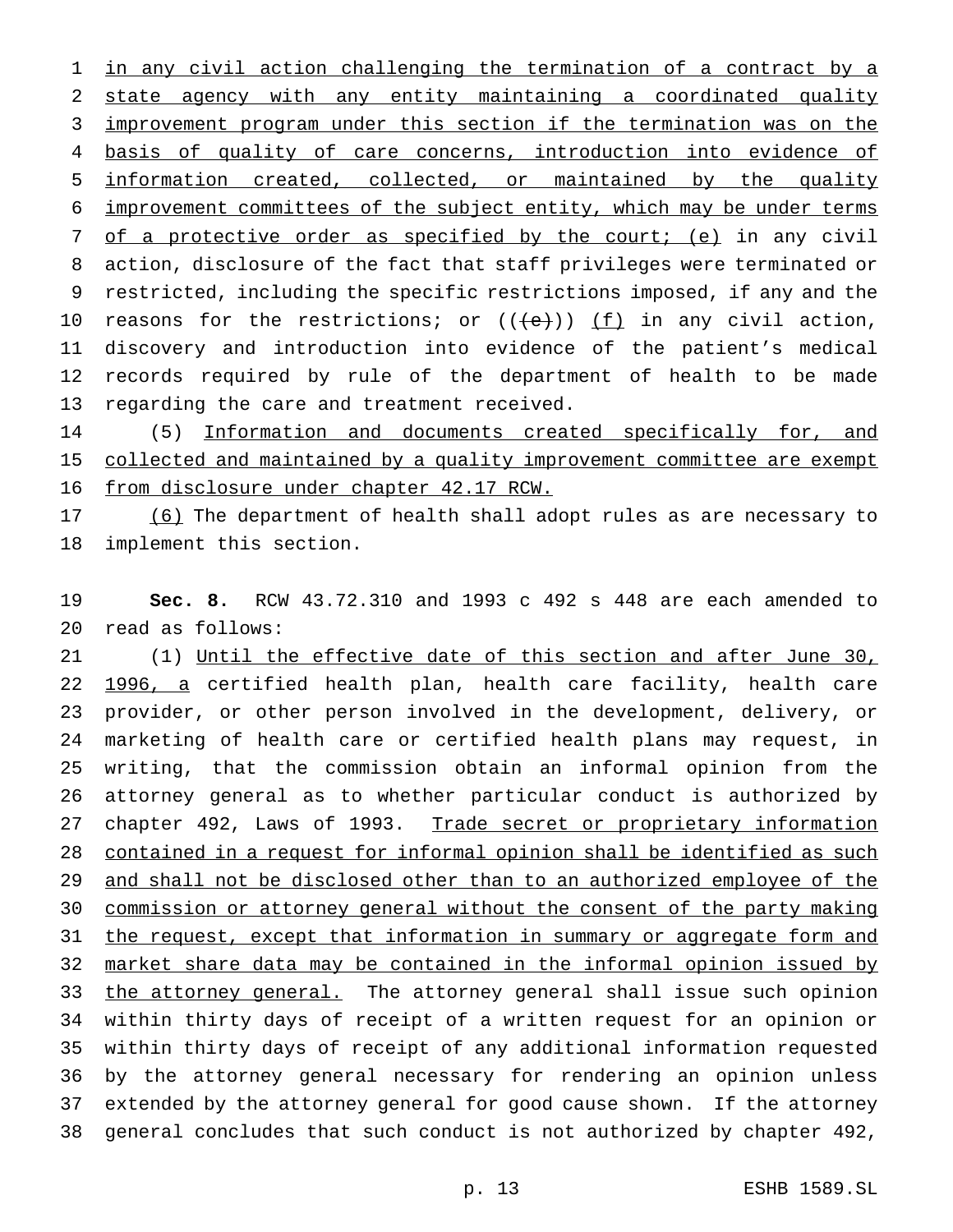in any civil action challenging the termination of a contract by a state agency with any entity maintaining a coordinated quality improvement program under this section if the termination was on the basis of quality of care concerns, introduction into evidence of information created, collected, or maintained by the quality improvement committees of the subject entity, which may be under terms 7 of a protective order as specified by the court; (e) in any civil action, disclosure of the fact that staff privileges were terminated or restricted, including the specific restrictions imposed, if any and the 10 reasons for the restrictions; or  $((e+))$  (f) in any civil action, discovery and introduction into evidence of the patient's medical records required by rule of the department of health to be made regarding the care and treatment received.

14 (5) Information and documents created specifically for, and 15 collected and maintained by a quality improvement committee are exempt from disclosure under chapter 42.17 RCW.

 (6) The department of health shall adopt rules as are necessary to implement this section.

 **Sec. 8.** RCW 43.72.310 and 1993 c 492 s 448 are each amended to read as follows:

 (1) Until the effective date of this section and after June 30, 22 1996, a certified health plan, health care facility, health care provider, or other person involved in the development, delivery, or marketing of health care or certified health plans may request, in writing, that the commission obtain an informal opinion from the attorney general as to whether particular conduct is authorized by 27 chapter 492, Laws of 1993. Trade secret or proprietary information contained in a request for informal opinion shall be identified as such 29 and shall not be disclosed other than to an authorized employee of the commission or attorney general without the consent of the party making 31 the request, except that information in summary or aggregate form and market share data may be contained in the informal opinion issued by 33 the attorney general. The attorney general shall issue such opinion within thirty days of receipt of a written request for an opinion or within thirty days of receipt of any additional information requested by the attorney general necessary for rendering an opinion unless extended by the attorney general for good cause shown. If the attorney general concludes that such conduct is not authorized by chapter 492,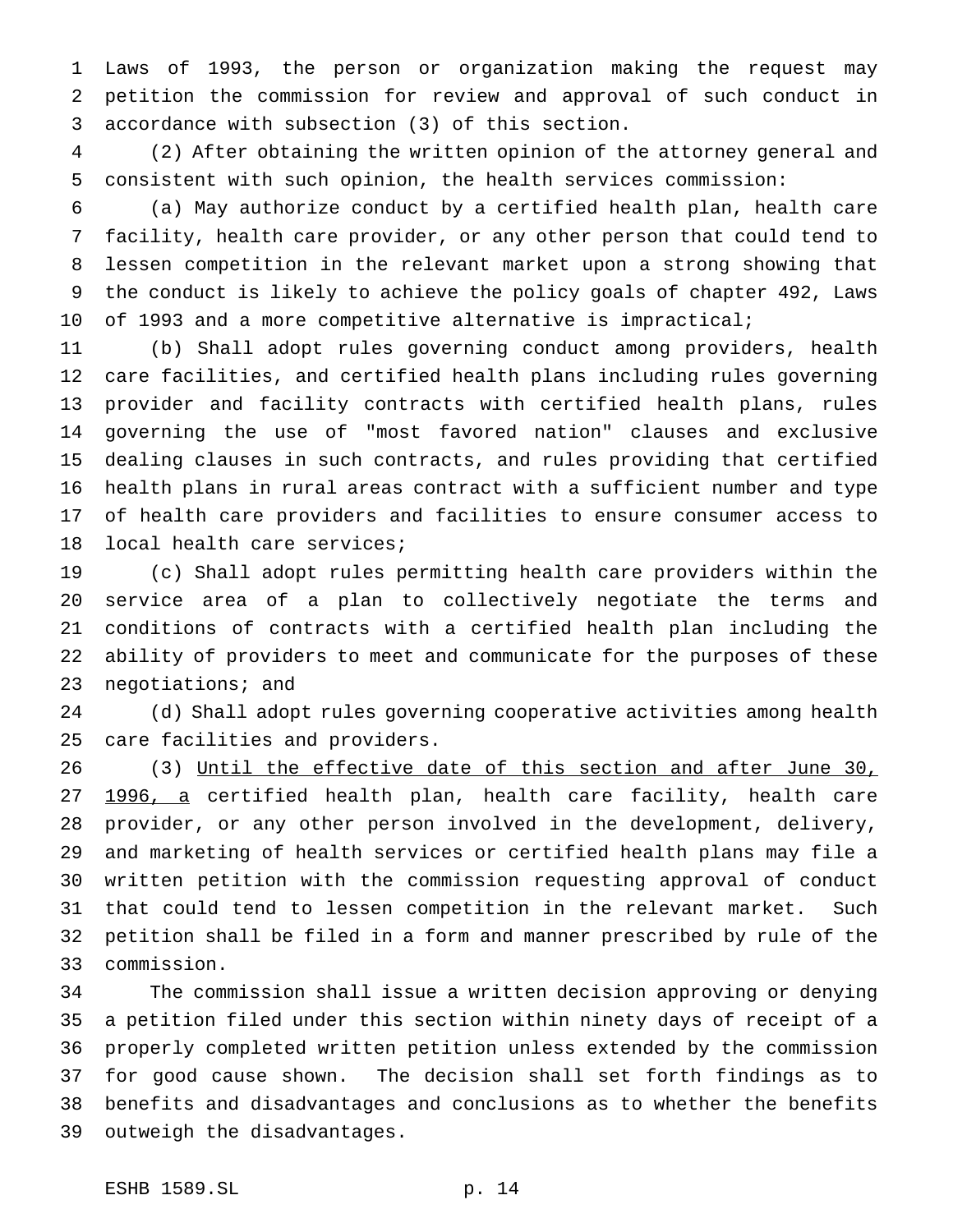Laws of 1993, the person or organization making the request may petition the commission for review and approval of such conduct in accordance with subsection (3) of this section.

 (2) After obtaining the written opinion of the attorney general and consistent with such opinion, the health services commission:

 (a) May authorize conduct by a certified health plan, health care facility, health care provider, or any other person that could tend to lessen competition in the relevant market upon a strong showing that the conduct is likely to achieve the policy goals of chapter 492, Laws 10 of 1993 and a more competitive alternative is impractical;

 (b) Shall adopt rules governing conduct among providers, health care facilities, and certified health plans including rules governing provider and facility contracts with certified health plans, rules governing the use of "most favored nation" clauses and exclusive dealing clauses in such contracts, and rules providing that certified health plans in rural areas contract with a sufficient number and type of health care providers and facilities to ensure consumer access to local health care services;

 (c) Shall adopt rules permitting health care providers within the service area of a plan to collectively negotiate the terms and conditions of contracts with a certified health plan including the ability of providers to meet and communicate for the purposes of these 23 negotiations; and

 (d) Shall adopt rules governing cooperative activities among health care facilities and providers.

 (3) Until the effective date of this section and after June 30, 27 1996, a certified health plan, health care facility, health care provider, or any other person involved in the development, delivery, and marketing of health services or certified health plans may file a written petition with the commission requesting approval of conduct that could tend to lessen competition in the relevant market. Such petition shall be filed in a form and manner prescribed by rule of the commission.

 The commission shall issue a written decision approving or denying a petition filed under this section within ninety days of receipt of a properly completed written petition unless extended by the commission for good cause shown. The decision shall set forth findings as to benefits and disadvantages and conclusions as to whether the benefits outweigh the disadvantages.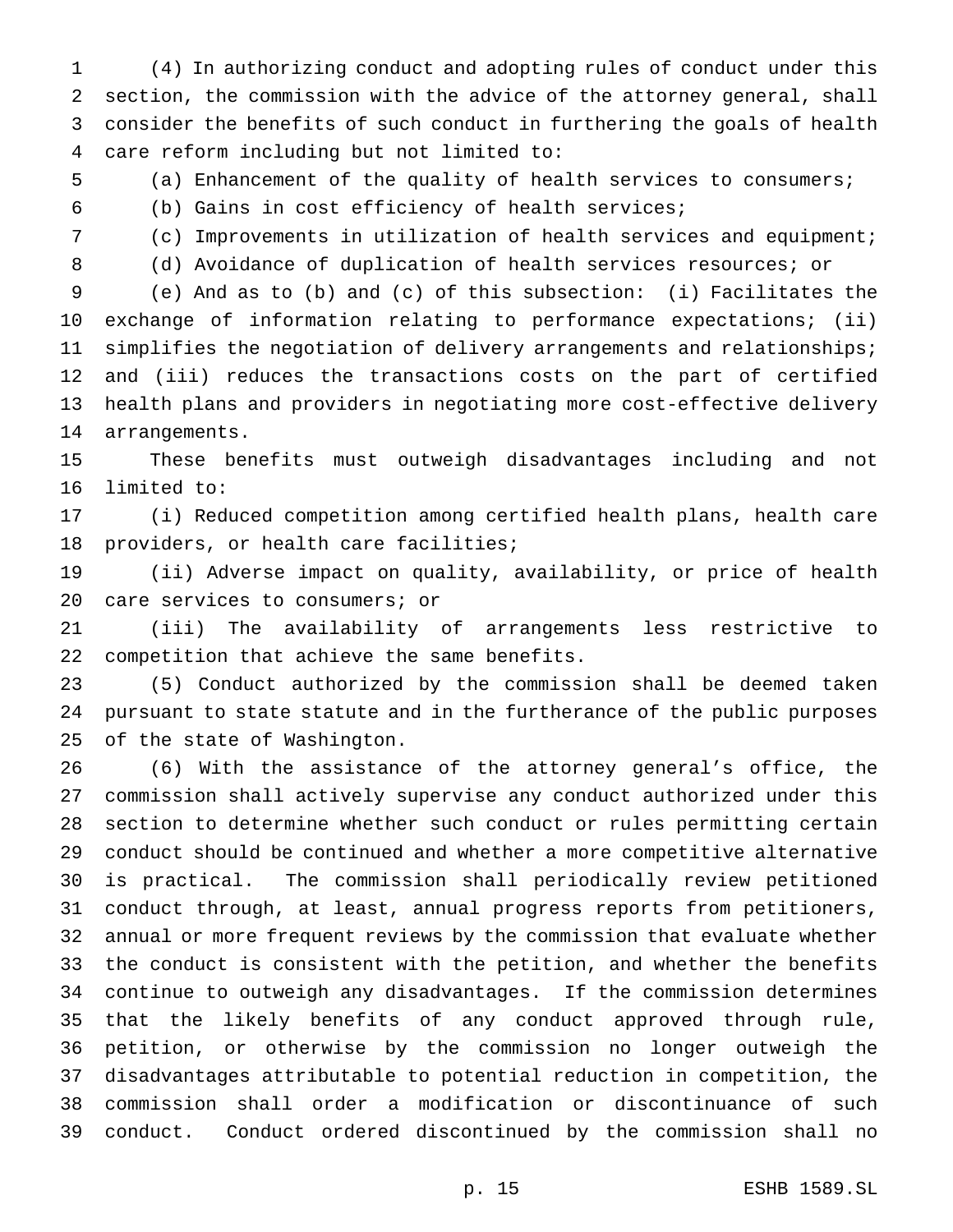(4) In authorizing conduct and adopting rules of conduct under this section, the commission with the advice of the attorney general, shall consider the benefits of such conduct in furthering the goals of health care reform including but not limited to:

(a) Enhancement of the quality of health services to consumers;

(b) Gains in cost efficiency of health services;

(c) Improvements in utilization of health services and equipment;

(d) Avoidance of duplication of health services resources; or

 (e) And as to (b) and (c) of this subsection: (i) Facilitates the exchange of information relating to performance expectations; (ii) simplifies the negotiation of delivery arrangements and relationships; and (iii) reduces the transactions costs on the part of certified health plans and providers in negotiating more cost-effective delivery arrangements.

 These benefits must outweigh disadvantages including and not limited to:

 (i) Reduced competition among certified health plans, health care providers, or health care facilities;

 (ii) Adverse impact on quality, availability, or price of health care services to consumers; or

 (iii) The availability of arrangements less restrictive to competition that achieve the same benefits.

 (5) Conduct authorized by the commission shall be deemed taken pursuant to state statute and in the furtherance of the public purposes of the state of Washington.

 (6) With the assistance of the attorney general's office, the commission shall actively supervise any conduct authorized under this section to determine whether such conduct or rules permitting certain conduct should be continued and whether a more competitive alternative is practical. The commission shall periodically review petitioned conduct through, at least, annual progress reports from petitioners, annual or more frequent reviews by the commission that evaluate whether the conduct is consistent with the petition, and whether the benefits continue to outweigh any disadvantages. If the commission determines that the likely benefits of any conduct approved through rule, petition, or otherwise by the commission no longer outweigh the disadvantages attributable to potential reduction in competition, the commission shall order a modification or discontinuance of such conduct. Conduct ordered discontinued by the commission shall no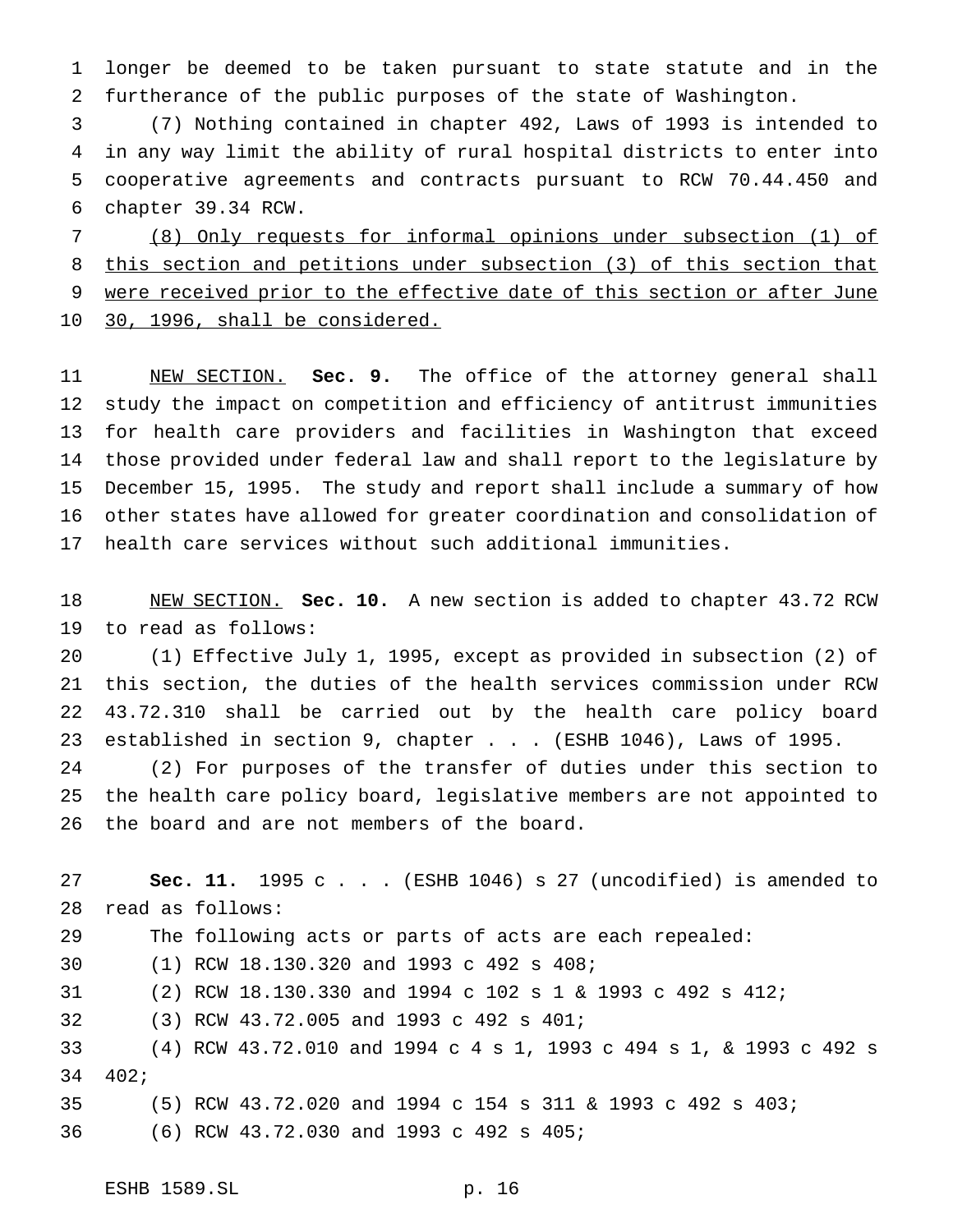longer be deemed to be taken pursuant to state statute and in the furtherance of the public purposes of the state of Washington.

 (7) Nothing contained in chapter 492, Laws of 1993 is intended to in any way limit the ability of rural hospital districts to enter into cooperative agreements and contracts pursuant to RCW 70.44.450 and chapter 39.34 RCW.

 (8) Only requests for informal opinions under subsection (1) of this section and petitions under subsection (3) of this section that were received prior to the effective date of this section or after June 30, 1996, shall be considered.

 NEW SECTION. **Sec. 9.** The office of the attorney general shall study the impact on competition and efficiency of antitrust immunities for health care providers and facilities in Washington that exceed those provided under federal law and shall report to the legislature by December 15, 1995. The study and report shall include a summary of how other states have allowed for greater coordination and consolidation of health care services without such additional immunities.

 NEW SECTION. **Sec. 10.** A new section is added to chapter 43.72 RCW to read as follows:

 (1) Effective July 1, 1995, except as provided in subsection (2) of this section, the duties of the health services commission under RCW 43.72.310 shall be carried out by the health care policy board established in section 9, chapter... (ESHB 1046), Laws of 1995.

 (2) For purposes of the transfer of duties under this section to the health care policy board, legislative members are not appointed to the board and are not members of the board.

 **Sec. 11.** 1995 c . . . (ESHB 1046) s 27 (uncodified) is amended to read as follows: The following acts or parts of acts are each repealed: (1) RCW 18.130.320 and 1993 c 492 s 408; (2) RCW 18.130.330 and 1994 c 102s1& 1993 c 492 s 412; (3) RCW 43.72.005 and 1993 c 492 s 401; (4) RCW 43.72.010 and 1994 c 4 s 1, 1993 c 494 s 1, & 1993 c 492 s 402; (5) RCW 43.72.020 and 1994 c 154 s 311 & 1993 c 492 s 403; (6) RCW 43.72.030 and 1993 c 492 s 405;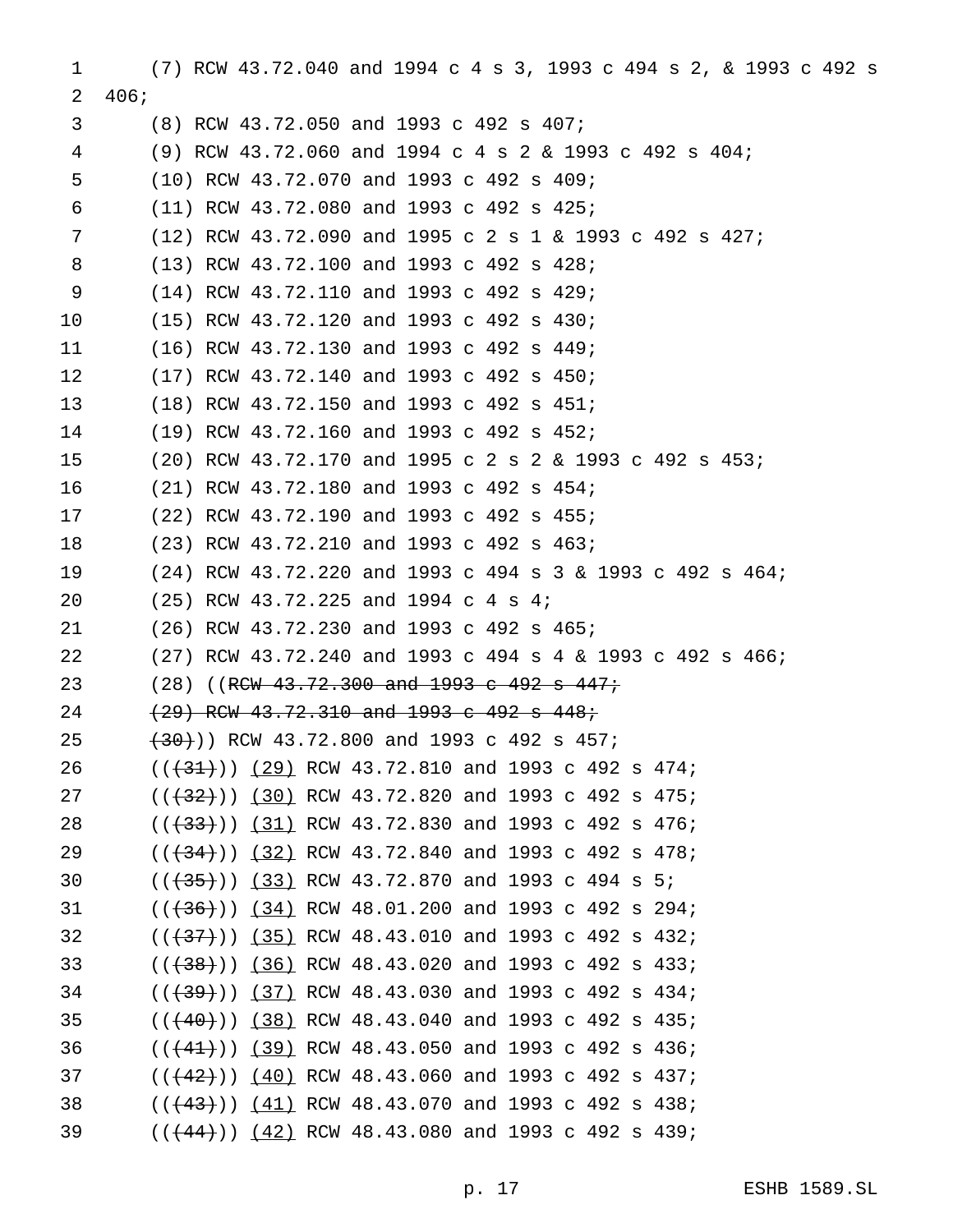(7) RCW 43.72.040 and 1994 c 4 s 3, 1993 c 494 s 2, & 1993 c 492 s 2 406; (8) RCW 43.72.050 and 1993 c 492 s 407; (9) RCW 43.72.060 and 1994c4s2& 1993 c 492 s 404; (10) RCW 43.72.070 and 1993 c 492 s 409; (11) RCW 43.72.080 and 1993 c 492 s 425; (12) RCW 43.72.090 and 1995c2s1& 1993 c 492 s 427; (13) RCW 43.72.100 and 1993 c 492 s 428; (14) RCW 43.72.110 and 1993 c 492 s 429; (15) RCW 43.72.120 and 1993 c 492 s 430; (16) RCW 43.72.130 and 1993 c 492 s 449; (17) RCW 43.72.140 and 1993 c 492 s 450; (18) RCW 43.72.150 and 1993 c 492 s 451; (19) RCW 43.72.160 and 1993 c 492 s 452; (20) RCW 43.72.170 and 1995c2s2& 1993 c 492 s 453; (21) RCW 43.72.180 and 1993 c 492 s 454; (22) RCW 43.72.190 and 1993 c 492 s 455; (23) RCW 43.72.210 and 1993 c 492 s 463; (24) RCW 43.72.220 and 1993 c 494s3& 1993 c 492 s 464; (25) RCW 43.72.225 and 1994 c 4 s 4; (26) RCW 43.72.230 and 1993 c 492 s 465; (27) RCW 43.72.240 and 1993 c 494s4& 1993 c 492 s 466; 23 (28) ((RCW 43.72.300 and 1993 c 492 s 447; 24 (29) RCW 43.72.310 and 1993 c 492 s 448;  $(30)$ ) RCW 43.72.800 and 1993 c 492 s 457; 26 ( $(\frac{31}{3})$ ) (29) RCW 43.72.810 and 1993 c 492 s 474; 27 ( $(\frac{432}{30})$  (30) RCW 43.72.820 and 1993 c 492 s 475; 28 ((<del>(33)</del>)) (31) RCW 43.72.830 and 1993 c 492 s 476; 29 ( $(\frac{34}{3})$ ) (32) RCW 43.72.840 and 1993 c 492 s 478; 30 (( $\left(\frac{33}{15}\right)$ ) (33) RCW 43.72.870 and 1993 c 494 s 5;  $((+36))$   $(34)$  RCW 48.01.200 and 1993 c 492 s 294;  $((+37))$  (35) RCW 48.43.010 and 1993 c 492 s 432; 33 ( $((+38))$  (36) RCW 48.43.020 and 1993 c 492 s 433; 34 ( $(\frac{39}{10})$  (37) RCW 48.43.030 and 1993 c 492 s 434; (((40))) (38) RCW 48.43.040 and 1993 c 492 s 435; 36 ( $(\frac{41}{39})$  RCW 48.43.050 and 1993 c 492 s 436; 37 (( $(42)$ )) (40) RCW 48.43.060 and 1993 c 492 s 437; 38 ( $(\frac{43}{1})$ ) (41) RCW 48.43.070 and 1993 c 492 s 438; 39 ( $((44)$ )) (42) RCW 48.43.080 and 1993 c 492 s 439;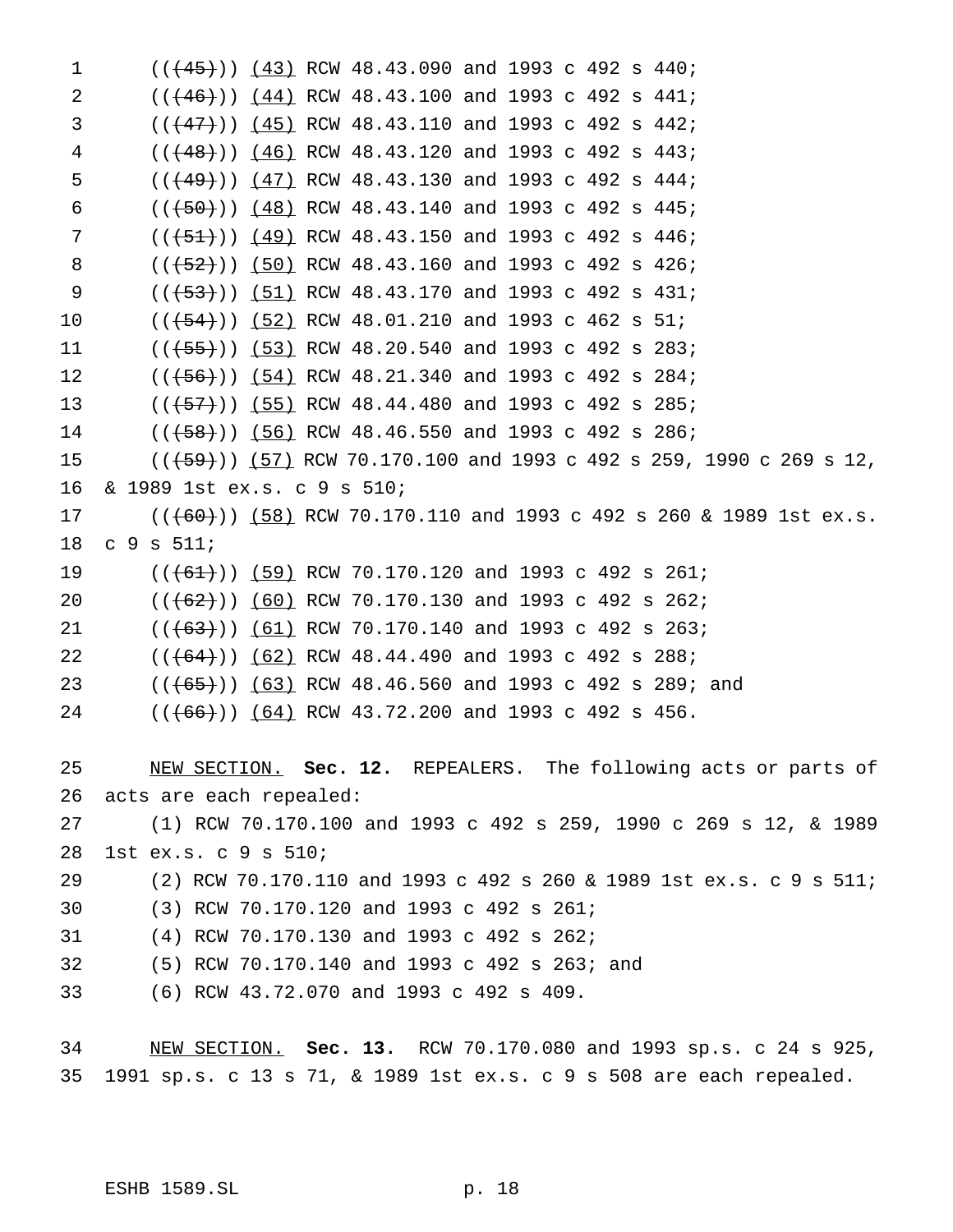1  $((+45))$   $(43)$  RCW 48.43.090 and 1993 c 492 s 440; 2  $((+46))$   $(44)$  RCW 48.43.100 and 1993 c 492 s 441; 3 ( $(\frac{47}{1})$ ) (45) RCW 48.43.110 and 1993 c 492 s 442; 4 (((48))) (46) RCW 48.43.120 and 1993 c 492 s 443; 5 (((49))) (47) RCW 48.43.130 and 1993 c 492 s 444; 6 ( $(\frac{150}{1})$  (48) RCW 48.43.140 and 1993 c 492 s 445; 7 ( $(\frac{51}{1})$ ) (49) RCW 48.43.150 and 1993 c 492 s 446; 8 (( $\left(\frac{52}{1}\right)$ ) (50) RCW 48.43.160 and 1993 c 492 s 426; 9 ((<del>(53)</del>)) (51) RCW 48.43.170 and 1993 c 492 s 431; 10  $((+54))$   $(52)$  RCW 48.01.210 and 1993 c 462 s 51; 11 ( $(\frac{+55}{})$ ) (53) RCW 48.20.540 and 1993 c 492 s 283; 12 (( $(56)$ )) (54) RCW 48.21.340 and 1993 c 492 s 284; 13 ( $(\frac{+57}{})$ ) (55) RCW 48.44.480 and 1993 c 492 s 285; 14 ((<del>(58)</del>)) (56) RCW 48.46.550 and 1993 c 492 s 286; 15 ( $(\frac{159}{12}, \frac{157}{12}, \frac{170}{170}, \frac{100}{100}, \frac{1993}{192}, \frac{199}{190}, \frac{1990}{1990}, \frac{269}{12}, \frac{127}{190})$ 16 & 1989 1st ex.s.c9s 510; 17 ( $((+60))$  (58) RCW 70.170.110 and 1993 c 492 s 260 & 1989 1st ex.s. 18 c 9 s 511; 19 (((61)) (59) RCW 70.170.120 and 1993 c 492 s 261; 20  $((\overline{62}))(\overline{60})$  RCW 70.170.130 and 1993 c 492 s 262; 21 ( $(\overline{63})$ ) (61) RCW 70.170.140 and 1993 c 492 s 263; 22  $((+64))$   $(62)$  RCW 48.44.490 and 1993 c 492 s 288; 23 (((65)) (63) RCW 48.46.560 and 1993 c 492 s 289; and 24 ((<del>(66)</del>)) (64) RCW 43.72.200 and 1993 c 492 s 456. 25 NEW SECTION. **Sec. 12.** REPEALERS. The following acts or parts of 26 acts are each repealed: 27 (1) RCW 70.170.100 and 1993 c 492 s 259, 1990 c 269 s 12, & 1989 28 1st ex.s.c9s 510; 29 (2) RCW 70.170.110 and 1993 c 492 s 260 & 1989 1st ex.s. c 9 s 511; 30 (3) RCW 70.170.120 and 1993 c 492 s 261; 31 (4) RCW 70.170.130 and 1993 c 492 s 262; 32 (5) RCW 70.170.140 and 1993 c 492 s 263; and 33 (6) RCW 43.72.070 and 1993 c 492 s 409. 34 NEW SECTION. **Sec. 13.** RCW 70.170.080 and 1993 sp.s. c 24 s 925,

35 1991 sp.s. c 13 s 71, & 1989 1st ex.s. c 9 s 508 are each repealed.